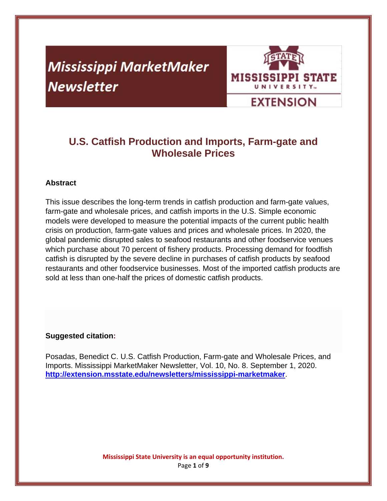# **Mississippi MarketMaker Newsletter**



# **U.S. Catfish Production and Imports, Farm-gate and Wholesale Prices**

# **Abstract**

This issue describes the long-term trends in catfish production and farm-gate values, farm-gate and wholesale prices, and catfish imports in the U.S. Simple economic models were developed to measure the potential impacts of the current public health crisis on production, farm-gate values and prices and wholesale prices. In 2020, the global pandemic disrupted sales to seafood restaurants and other foodservice venues which purchase about 70 percent of fishery products. Processing demand for foodfish catfish is disrupted by the severe decline in purchases of catfish products by seafood restaurants and other foodservice businesses. Most of the imported catfish products are sold at less than one-half the prices of domestic catfish products.

### **Suggested citation:**

Posadas, Benedict C. U.S. Catfish Production, Farm-gate and Wholesale Prices, and Imports. Mississippi MarketMaker Newsletter, Vol. 10, No. 8. September 1, 2020. **http://extension.msstate.edu/newsletters/mississippi-marketmaker**.

> **Mississippi State University is an equal opportunity institution.** Page **1** of **9**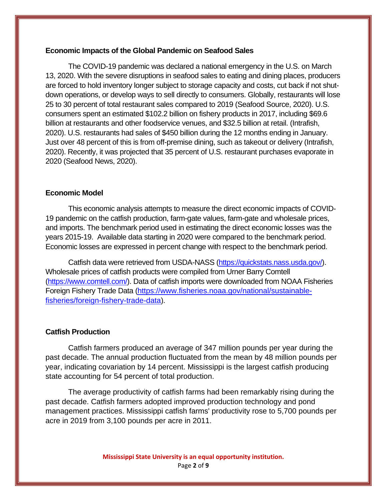#### **Economic Impacts of the Global Pandemic on Seafood Sales**

The COVID-19 pandemic was declared a national emergency in the U.S. on March 13, 2020. With the severe disruptions in seafood sales to eating and dining places, producers are forced to hold inventory longer subject to storage capacity and costs, cut back if not shutdown operations, or develop ways to sell directly to consumers. Globally, restaurants will lose 25 to 30 percent of total restaurant sales compared to 2019 (Seafood Source, 2020). U.S. consumers spent an estimated \$102.2 billion on fishery products in 2017, including \$69.6 billion at restaurants and other foodservice venues, and \$32.5 billion at retail. (Intrafish, 2020). U.S. restaurants had sales of \$450 billion during the 12 months ending in January. Just over 48 percent of this is from off-premise dining, such as takeout or delivery (Intrafish, 2020). Recently, it was projected that 35 percent of U.S. restaurant purchases evaporate in 2020 (Seafood News, 2020).

#### **Economic Model**

This economic analysis attempts to measure the direct economic impacts of COVID-19 pandemic on the catfish production, farm-gate values, farm-gate and wholesale prices, and imports. The benchmark period used in estimating the direct economic losses was the years 2015-19. Available data starting in 2020 were compared to the benchmark period. Economic losses are expressed in percent change with respect to the benchmark period.

Catfish data were retrieved from USDA-NASS (https://quickstats.nass.usda.gov/). Wholesale prices of catfish products were compiled from Urner Barry Comtell (https://www.comtell.com/). Data of catfish imports were downloaded from NOAA Fisheries Foreign Fishery Trade Data (https://www.fisheries.noaa.gov/national/sustainablefisheries/foreign-fishery-trade-data).

#### **Catfish Production**

Catfish farmers produced an average of 347 million pounds per year during the past decade. The annual production fluctuated from the mean by 48 million pounds per year, indicating covariation by 14 percent. Mississippi is the largest catfish producing state accounting for 54 percent of total production.

The average productivity of catfish farms had been remarkably rising during the past decade. Catfish farmers adopted improved production technology and pond management practices. Mississippi catfish farms' productivity rose to 5,700 pounds per acre in 2019 from 3,100 pounds per acre in 2011.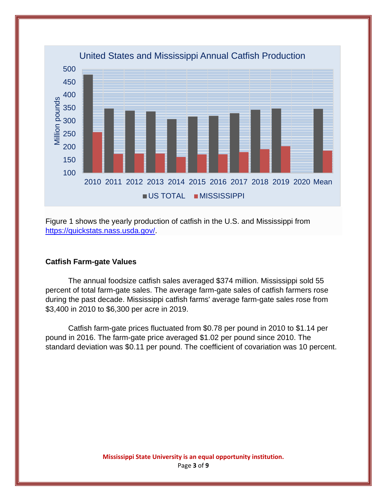

Figure 1 shows the yearly production of catfish in the U.S. and Mississippi from https://quickstats.nass.usda.gov/.

#### **Catfish Farm-gate Values**

The annual foodsize catfish sales averaged \$374 million. Mississippi sold 55 percent of total farm-gate sales. The average farm-gate sales of catfish farmers rose during the past decade. Mississippi catfish farms' average farm-gate sales rose from \$3,400 in 2010 to \$6,300 per acre in 2019.

Catfish farm-gate prices fluctuated from \$0.78 per pound in 2010 to \$1.14 per pound in 2016. The farm-gate price averaged \$1.02 per pound since 2010. The standard deviation was \$0.11 per pound. The coefficient of covariation was 10 percent.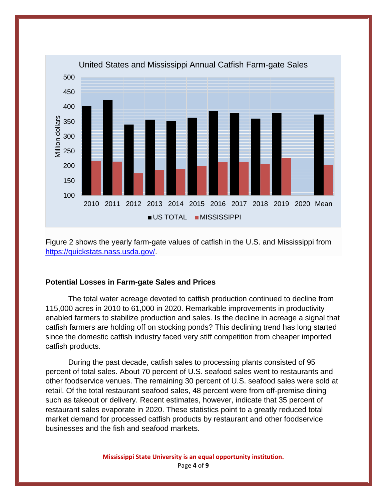

Figure 2 shows the yearly farm-gate values of catfish in the U.S. and Mississippi from https://quickstats.nass.usda.gov/.

#### **Potential Losses in Farm-gate Sales and Prices**

The total water acreage devoted to catfish production continued to decline from 115,000 acres in 2010 to 61,000 in 2020. Remarkable improvements in productivity enabled farmers to stabilize production and sales. Is the decline in acreage a signal that catfish farmers are holding off on stocking ponds? This declining trend has long started since the domestic catfish industry faced very stiff competition from cheaper imported catfish products.

During the past decade, catfish sales to processing plants consisted of 95 percent of total sales. About 70 percent of U.S. seafood sales went to restaurants and other foodservice venues. The remaining 30 percent of U.S. seafood sales were sold at retail. Of the total restaurant seafood sales, 48 percent were from off-premise dining such as takeout or delivery. Recent estimates, however, indicate that 35 percent of restaurant sales evaporate in 2020. These statistics point to a greatly reduced total market demand for processed catfish products by restaurant and other foodservice businesses and the fish and seafood markets.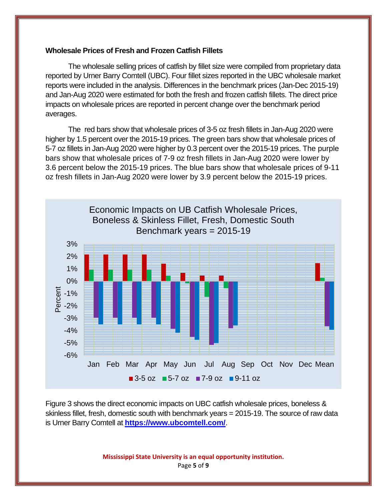#### **Wholesale Prices of Fresh and Frozen Catfish Fillets**

 The wholesale selling prices of catfish by fillet size were compiled from proprietary data reported by Urner Barry Comtell (UBC). Four fillet sizes reported in the UBC wholesale market reports were included in the analysis. Differences in the benchmark prices (Jan-Dec 2015-19) and Jan-Aug 2020 were estimated for both the fresh and frozen catfish fillets. The direct price impacts on wholesale prices are reported in percent change over the benchmark period averages.

The red bars show that wholesale prices of 3-5 oz fresh fillets in Jan-Aug 2020 were higher by 1.5 percent over the 2015-19 prices. The green bars show that wholesale prices of 5-7 oz fillets in Jan-Aug 2020 were higher by 0.3 percent over the 2015-19 prices. The purple bars show that wholesale prices of 7-9 oz fresh fillets in Jan-Aug 2020 were lower by 3.6 percent below the 2015-19 prices. The blue bars show that wholesale prices of 9-11 oz fresh fillets in Jan-Aug 2020 were lower by 3.9 percent below the 2015-19 prices.



Figure 3 shows the direct economic impacts on UBC catfish wholesale prices, boneless & skinless fillet, fresh, domestic south with benchmark years = 2015-19. The source of raw data is Urner Barry Comtell at **https://www.ubcomtell.com/**.

> **Mississippi State University is an equal opportunity institution.** Page **5** of **9**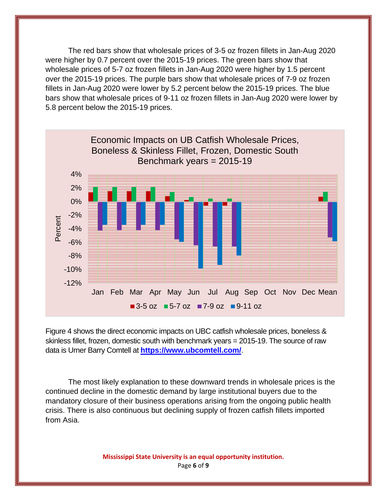The red bars show that wholesale prices of 3-5 oz frozen fillets in Jan-Aug 2020 were higher by 0.7 percent over the 2015-19 prices. The green bars show that wholesale prices of 5-7 oz frozen fillets in Jan-Aug 2020 were higher by 1.5 percent over the 2015-19 prices. The purple bars show that wholesale prices of 7-9 oz frozen fillets in Jan-Aug 2020 were lower by 5.2 percent below the 2015-19 prices. The blue bars show that wholesale prices of 9-11 oz frozen fillets in Jan-Aug 2020 were lower by 5.8 percent below the 2015-19 prices.



Figure 4 shows the direct economic impacts on UBC catfish wholesale prices, boneless & skinless fillet, frozen, domestic south with benchmark years = 2015-19. The source of raw data is Urner Barry Comtell at **https://www.ubcomtell.com/**.

The most likely explanation to these downward trends in wholesale prices is the continued decline in the domestic demand by large institutional buyers due to the mandatory closure of their business operations arising from the ongoing public health crisis. There is also continuous but declining supply of frozen catfish fillets imported from Asia.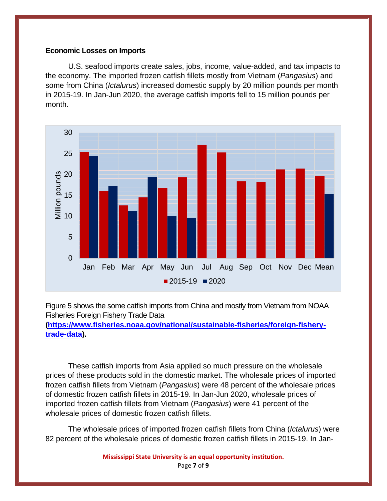#### **Economic Losses on Imports**

U.S. seafood imports create sales, jobs, income, value-added, and tax impacts to the economy. The imported frozen catfish fillets mostly from Vietnam (*Pangasius*) and some from China (*Ictalurus*) increased domestic supply by 20 million pounds per month in 2015-19. In Jan-Jun 2020, the average catfish imports fell to 15 million pounds per month.



Figure 5 shows the some catfish imports from China and mostly from Vietnam from NOAA Fisheries Foreign Fishery Trade Data

**(https://www.fisheries.noaa.gov/national/sustainable-fisheries/foreign-fisherytrade-data).**

These catfish imports from Asia applied so much pressure on the wholesale prices of these products sold in the domestic market. The wholesale prices of imported frozen catfish fillets from Vietnam (*Pangasius*) were 48 percent of the wholesale prices of domestic frozen catfish fillets in 2015-19. In Jan-Jun 2020, wholesale prices of imported frozen catfish fillets from Vietnam (*Pangasius*) were 41 percent of the wholesale prices of domestic frozen catfish fillets.

The wholesale prices of imported frozen catfish fillets from China (*Ictalurus*) were 82 percent of the wholesale prices of domestic frozen catfish fillets in 2015-19. In Jan-

**Mississippi State University is an equal opportunity institution.**

Page **7** of **9**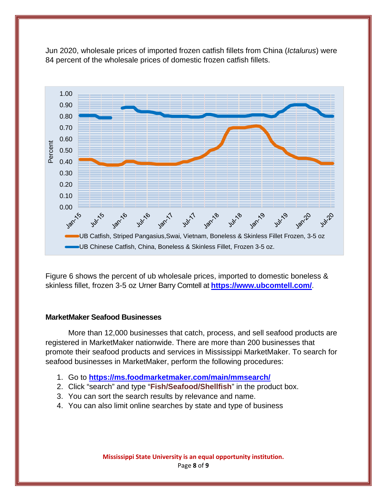

Jun 2020, wholesale prices of imported frozen catfish fillets from China (*Ictalurus*) were 84 percent of the wholesale prices of domestic frozen catfish fillets.

Figure 6 shows the percent of ub wholesale prices, imported to domestic boneless & skinless fillet, frozen 3-5 oz Urner Barry Comtell at **https://www.ubcomtell.com/**.

# **MarketMaker Seafood Businesses**

More than 12,000 businesses that catch, process, and sell seafood products are registered in MarketMaker nationwide. There are more than 200 businesses that promote their seafood products and services in Mississippi MarketMaker. To search for seafood businesses in MarketMaker, perform the following procedures:

- 1. Go to **https://ms.foodmarketmaker.com/main/mmsearch/**
- 2. Click "search" and type "**Fish/Seafood/Shellfish**" in the product box.
- 3. You can sort the search results by relevance and name.
- 4. You can also limit online searches by state and type of business

**Mississippi State University is an equal opportunity institution.** Page **8** of **9**